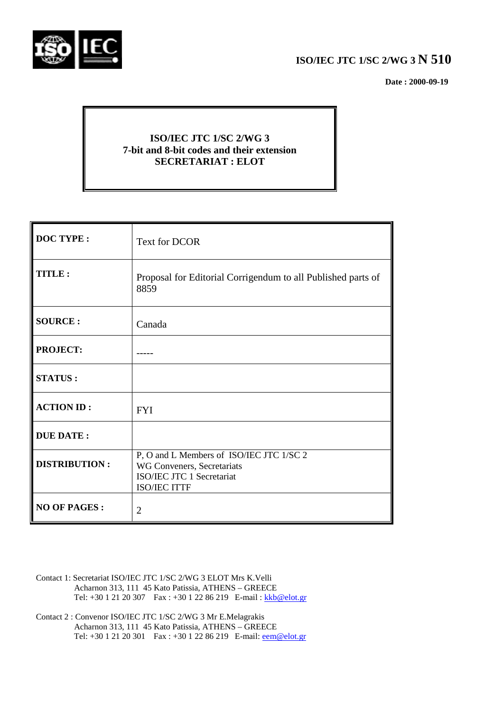

# **ISO/IEC JTC 1/SC 2/WG 3 N 510**

 **Date : 2000-09-19**

# **ISO/IEC JTC 1/SC 2/WG 3 7-bit and 8-bit codes and their extension SECRETARIAT : ELOT**

| <b>DOC TYPE:</b>     | Text for DCOR                                                                                                              |
|----------------------|----------------------------------------------------------------------------------------------------------------------------|
| TITLE:               | Proposal for Editorial Corrigendum to all Published parts of<br>8859                                                       |
| <b>SOURCE:</b>       | Canada                                                                                                                     |
| <b>PROJECT:</b>      |                                                                                                                            |
| <b>STATUS:</b>       |                                                                                                                            |
| <b>ACTION ID:</b>    | <b>FYI</b>                                                                                                                 |
| <b>DUE DATE:</b>     |                                                                                                                            |
| <b>DISTRIBUTION:</b> | P, O and L Members of ISO/IEC JTC 1/SC 2<br>WG Conveners, Secretariats<br>ISO/IEC JTC 1 Secretariat<br><b>ISO/IEC ITTF</b> |
| <b>NO OF PAGES:</b>  | $\overline{2}$                                                                                                             |

- Contact 1: Secretariat ISO/IEC JTC 1/SC 2/WG 3 ELOT Mrs K.Velli Acharnon 313, 111 45 Kato Patissia, ATHENS – GREECE Tel: +30 1 21 20 307 Fax : +30 1 22 86 219 E-mail : kkb@elot.gr
- Contact 2 : Convenor ISO/IEC JTC 1/SC 2/WG 3 Mr E.Melagrakis Acharnon 313, 111 45 Kato Patissia, ATHENS – GREECE Tel: +30 1 21 20 301 Fax : +30 1 22 86 219 E-mail: <u>eem@elot.gr</u>